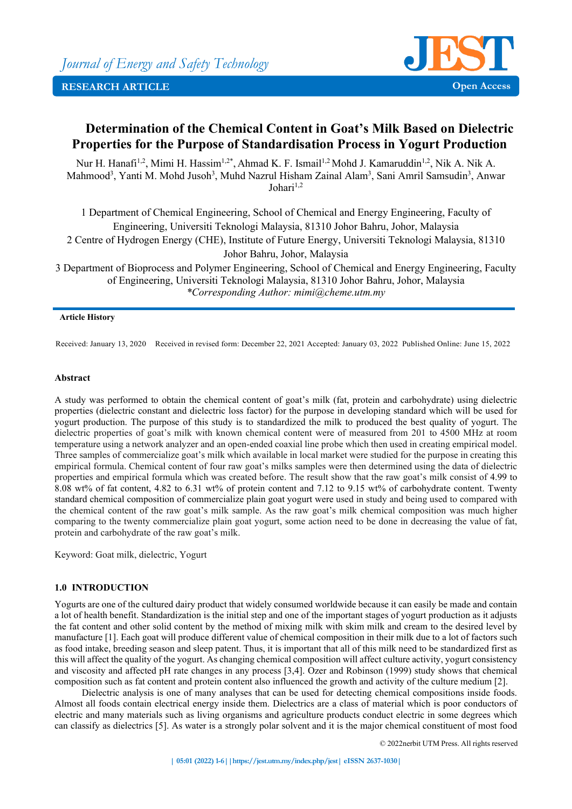

# **Determination of the Chemical Content in Goat's Milk Based on Dielectric Properties for the Purpose of Standardisation Process in Yogurt Production**

Nur H. Hanafi<sup>1,2</sup>, Mimi H. Hassim<sup>1,2\*</sup>, Ahmad K. F. Ismail<sup>1,2</sup> Mohd J. Kamaruddin<sup>1,2</sup>, Nik A. Nik A. Mahmood<sup>3</sup>, Yanti M. Mohd Jusoh<sup>3</sup>, Muhd Nazrul Hisham Zainal Alam<sup>3</sup>, Sani Amril Samsudin<sup>3</sup>, Anwar  $Johari<sup>1,2</sup>$ 

1 Department of Chemical Engineering, School of Chemical and Energy Engineering, Faculty of Engineering, Universiti Teknologi Malaysia, 81310 Johor Bahru, Johor, Malaysia 2 Centre of Hydrogen Energy (CHE), Institute of Future Energy, Universiti Teknologi Malaysia, 81310 Johor Bahru, Johor, Malaysia

3 Department of Bioprocess and Polymer Engineering, School of Chemical and Energy Engineering, Faculty of Engineering, Universiti Teknologi Malaysia, 81310 Johor Bahru, Johor, Malaysia *\*Corresponding Author: mimi@cheme.utm.my*

#### **Article History**

Received: January 13, 2020 Received in revised form: December 22, 2021 Accepted: January 03, 2022 Published Online: June 15, 2022

#### **Abstract**

A study was performed to obtain the chemical content of goat's milk (fat, protein and carbohydrate) using dielectric properties (dielectric constant and dielectric loss factor) for the purpose in developing standard which will be used for yogurt production. The purpose of this study is to standardized the milk to produced the best quality of yogurt. The dielectric properties of goat's milk with known chemical content were of measured from 201 to 4500 MHz at room temperature using a network analyzer and an open-ended coaxial line probe which then used in creating empirical model. Three samples of commercialize goat's milk which available in local market were studied for the purpose in creating this empirical formula. Chemical content of four raw goat's milks samples were then determined using the data of dielectric properties and empirical formula which was created before. The result show that the raw goat's milk consist of 4.99 to 8.08 wt% of fat content, 4.82 to 6.31 wt% of protein content and 7.12 to 9.15 wt% of carbohydrate content. Twenty standard chemical composition of commercialize plain goat yogurt were used in study and being used to compared with the chemical content of the raw goat's milk sample. As the raw goat's milk chemical composition was much higher comparing to the twenty commercialize plain goat yogurt, some action need to be done in decreasing the value of fat, protein and carbohydrate of the raw goat's milk.

Keyword: Goat milk, dielectric, Yogurt

#### **1.0 INTRODUCTION**

Yogurts are one of the cultured dairy product that widely consumed worldwide because it can easily be made and contain a lot of health benefit. Standardization is the initial step and one of the important stages of yogurt production as it adjusts the fat content and other solid content by the method of mixing milk with skim milk and cream to the desired level by manufacture [1]. Each goat will produce different value of chemical composition in their milk due to a lot of factors such as food intake, breeding season and sleep patent. Thus, it is important that all of this milk need to be standardized first as this will affect the quality of the yogurt. As changing chemical composition will affect culture activity, yogurt consistency and viscosity and affected pH rate changes in any process [3,4]. Ozer and Robinson (1999) study shows that chemical composition such as fat content and protein content also influenced the growth and activity of the culture medium [2].

Dielectric analysis is one of many analyses that can be used for detecting chemical compositions inside foods. Almost all foods contain electrical energy inside them. Dielectrics are a class of material which is poor conductors of electric and many materials such as living organisms and agriculture products conduct electric in some degrees which can classify as dielectrics [5]. As water is a strongly polar solvent and it is the major chemical constituent of most food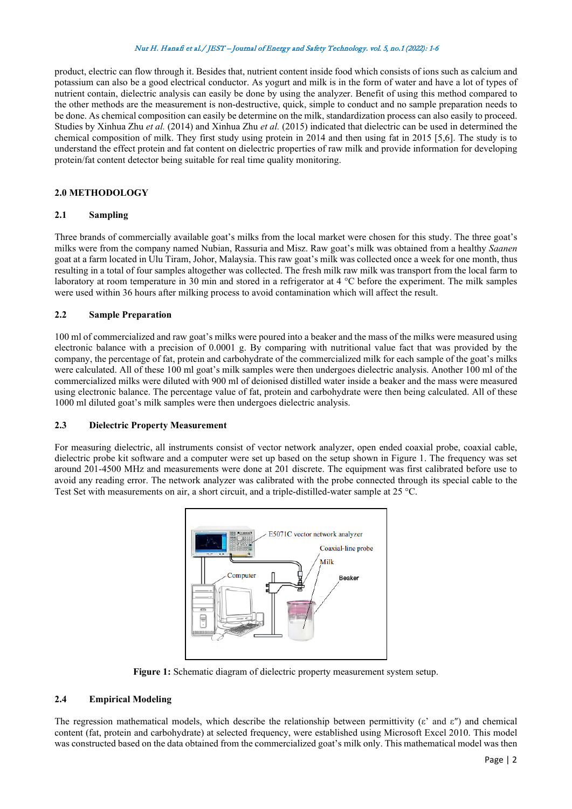product, electric can flow through it. Besides that, nutrient content inside food which consists of ions such as calcium and potassium can also be a good electrical conductor. As yogurt and milk is in the form of water and have a lot of types of nutrient contain, dielectric analysis can easily be done by using the analyzer. Benefit of using this method compared to the other methods are the measurement is non-destructive, quick, simple to conduct and no sample preparation needs to be done. As chemical composition can easily be determine on the milk, standardization process can also easily to proceed. Studies by Xinhua Zhu *et al.* (2014) and Xinhua Zhu *et al.* (2015) indicated that dielectric can be used in determined the chemical composition of milk. They first study using protein in 2014 and then using fat in 2015 [5,6]. The study is to understand the effect protein and fat content on dielectric properties of raw milk and provide information for developing protein/fat content detector being suitable for real time quality monitoring.

### **2.0 METHODOLOGY**

# **2.1 Sampling**

Three brands of commercially available goat's milks from the local market were chosen for this study. The three goat's milks were from the company named Nubian, Rassuria and Misz. Raw goat's milk was obtained from a healthy *Saanen* goat at a farm located in Ulu Tiram, Johor, Malaysia. This raw goat's milk was collected once a week for one month, thus resulting in a total of four samples altogether was collected. The fresh milk raw milk was transport from the local farm to laboratory at room temperature in 30 min and stored in a refrigerator at 4 °C before the experiment. The milk samples were used within 36 hours after milking process to avoid contamination which will affect the result.

## **2.2 Sample Preparation**

100 ml of commercialized and raw goat's milks were poured into a beaker and the mass of the milks were measured using electronic balance with a precision of 0.0001 g. By comparing with nutritional value fact that was provided by the company, the percentage of fat, protein and carbohydrate of the commercialized milk for each sample of the goat's milks were calculated. All of these 100 ml goat's milk samples were then undergoes dielectric analysis. Another 100 ml of the commercialized milks were diluted with 900 ml of deionised distilled water inside a beaker and the mass were measured using electronic balance. The percentage value of fat, protein and carbohydrate were then being calculated. All of these 1000 ml diluted goat's milk samples were then undergoes dielectric analysis.

### **2.3 Dielectric Property Measurement**

For measuring dielectric, all instruments consist of vector network analyzer, open ended coaxial probe, coaxial cable, dielectric probe kit software and a computer were set up based on the setup shown in Figure 1. The frequency was set around 201-4500 MHz and measurements were done at 201 discrete. The equipment was first calibrated before use to avoid any reading error. The network analyzer was calibrated with the probe connected through its special cable to the Test Set with measurements on air, a short circuit, and a triple-distilled-water sample at 25 °C.



**Figure 1:** Schematic diagram of dielectric property measurement system setup.

### **2.4 Empirical Modeling**

The regression mathematical models, which describe the relationship between permittivity (ε' and ε″) and chemical content (fat, protein and carbohydrate) at selected frequency, were established using Microsoft Excel 2010. This model was constructed based on the data obtained from the commercialized goat's milk only. This mathematical model was then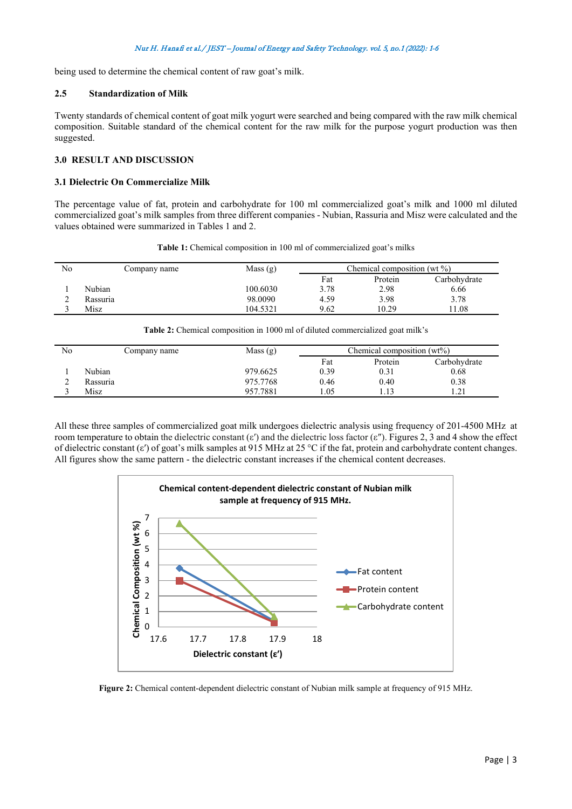being used to determine the chemical content of raw goat's milk.

### **2.5 Standardization of Milk**

Twenty standards of chemical content of goat milk yogurt were searched and being compared with the raw milk chemical composition. Suitable standard of the chemical content for the raw milk for the purpose yogurt production was then suggested.

## **3.0 RESULT AND DISCUSSION**

### **3.1 Dielectric On Commercialize Milk**

The percentage value of fat, protein and carbohydrate for 100 ml commercialized goat's milk and 1000 ml diluted commercialized goat's milk samples from three different companies - Nubian, Rassuria and Misz were calculated and the values obtained were summarized in Tables 1 and 2.

| N <sub>o</sub> |          | Company name | Mass(g)  | Chemical composition (wt $\%$ ) |         |              |
|----------------|----------|--------------|----------|---------------------------------|---------|--------------|
|                |          |              |          | Fat                             | Protein | Carbohydrate |
|                | Nubian   |              | 100.6030 | 3.78                            | 2.98    | 6.66         |
|                | Rassuria |              | 98.0090  | 4.59                            | 3.98    | 3.78         |
|                | Misz     |              | 104.5321 | 9.62                            | 10.29   | 1.08         |

**Table 1:** Chemical composition in 100 ml of commercialized goat's milks

| Table 2: Chemical composition in 1000 ml of diluted commercialized goat milk's |  |  |
|--------------------------------------------------------------------------------|--|--|
|--------------------------------------------------------------------------------|--|--|

| No | Company name | Mass(g)  | Chemical composition $(wt\%)$ |         |                  |
|----|--------------|----------|-------------------------------|---------|------------------|
|    |              |          | Fat                           | Protein | Carbohydrate     |
|    | Nubian       | 979.6625 | 0.39                          | 0.31    | 0.68             |
|    | Rassuria     | 975.7768 | 0.46                          | 0.40    | 0.38             |
|    | Misz         | 957.7881 | . 05                          | 1.13    | $\gamma$<br>1.ZI |

All these three samples of commercialized goat milk undergoes dielectric analysis using frequency of 201-4500 MHz at room temperature to obtain the dielectric constant  $(\epsilon')$  and the dielectric loss factor  $(\epsilon'')$ . Figures 2, 3 and 4 show the effect of dielectric constant (ε′) of goat's milk samples at 915 MHz at 25 °C if the fat, protein and carbohydrate content changes. All figures show the same pattern - the dielectric constant increases if the chemical content decreases.



**Figure 2:** Chemical content-dependent dielectric constant of Nubian milk sample at frequency of 915 MHz.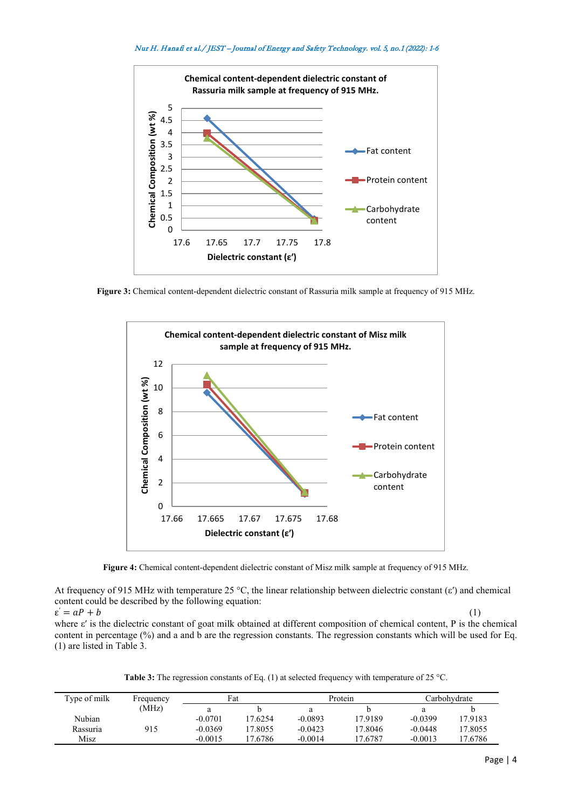

**Figure 3:** Chemical content-dependent dielectric constant of Rassuria milk sample at frequency of 915 MHz.



**Figure 4:** Chemical content-dependent dielectric constant of Misz milk sample at frequency of 915 MHz.

At frequency of 915 MHz with temperature 25 °C, the linear relationship between dielectric constant ( $\varepsilon'$ ) and chemical content could be described by the following equation:

 $\varepsilon' = aP + b$  (1) where ε′ is the dielectric constant of goat milk obtained at different composition of chemical content, P is the chemical content in percentage (%) and a and b are the regression constants. The regression constants which will be used for Eq. (1) are listed in Table 3.

Table 3: The regression constants of Eq. (1) at selected frequency with temperature of 25 °C.

| Type of milk | Frequency | Fat       |         |           | Protein |           | Carbohvdrate |  |
|--------------|-----------|-----------|---------|-----------|---------|-----------|--------------|--|
|              | (MHz)     |           |         | а         |         | a         |              |  |
| Nubian       |           | $-0.0701$ | 17.6254 | $-0.0893$ | 17.9189 | $-0.0399$ | 17.9183      |  |
| Rassuria     | 915       | $-0.0369$ | 17.8055 | $-0.0423$ | 17.8046 | $-0.0448$ | 17.8055      |  |
| <b>Misz</b>  |           | $-0.0015$ | 17.6786 | $-0.0014$ | 17.6787 | $-0.0013$ | 17.6786      |  |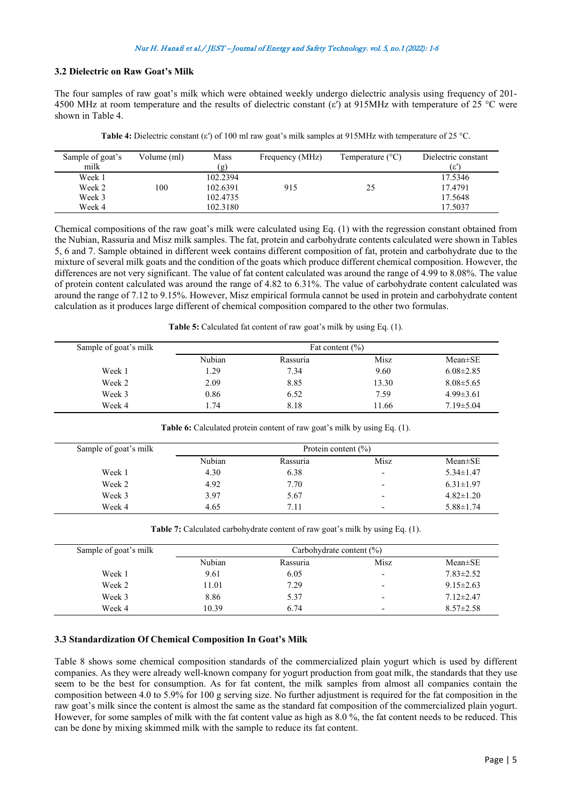# **3.2 Dielectric on Raw Goat's Milk**

The four samples of raw goat's milk which were obtained weekly undergo dielectric analysis using frequency of 201- 4500 MHz at room temperature and the results of dielectric constant (ε′) at 915MHz with temperature of 25 °C were shown in Table 4.

| Sample of goat's<br>milk | Volume (ml) | Mass<br>(g) | Frequency (MHz) | Temperature $(^{\circ}C)$ | Dielectric constant<br>(ε′ |
|--------------------------|-------------|-------------|-----------------|---------------------------|----------------------------|
| Week 1                   |             | 102.2394    |                 |                           | 17.5346                    |
| Week 2                   | 100         | 102.6391    | 915             | 25                        | 17.4791                    |
| Week 3                   |             | 102.4735    |                 |                           | 17.5648                    |
| Week 4                   |             | 102.3180    |                 |                           | 17.5037                    |

**Table 4:** Dielectric constant (ε′) of 100 ml raw goat's milk samples at 915MHz with temperature of 25 °C.

Chemical compositions of the raw goat's milk were calculated using Eq. (1) with the regression constant obtained from the Nubian, Rassuria and Misz milk samples. The fat, protein and carbohydrate contents calculated were shown in Tables 5, 6 and 7. Sample obtained in different week contains different composition of fat, protein and carbohydrate due to the mixture of several milk goats and the condition of the goats which produce different chemical composition. However, the differences are not very significant. The value of fat content calculated was around the range of 4.99 to 8.08%. The value of protein content calculated was around the range of 4.82 to 6.31%. The value of carbohydrate content calculated was around the range of 7.12 to 9.15%. However, Misz empirical formula cannot be used in protein and carbohydrate content calculation as it produces large different of chemical composition compared to the other two formulas.

**Table 5:** Calculated fat content of raw goat's milk by using Eq. (1).

| Sample of goat's milk | Fat content $(\% )$ |          |       |                 |  |  |
|-----------------------|---------------------|----------|-------|-----------------|--|--|
|                       | Nubian              | Rassuria | Misz  | $Mean \pm SE$   |  |  |
| Week 1                | 1.29                | 7.34     | 9.60  | $6.08 \pm 2.85$ |  |  |
| Week 2                | 2.09                | 8.85     | 13.30 | $8.08 \pm 5.65$ |  |  |
| Week 3                | 0.86                | 6.52     | 7.59  | $4.99 \pm 3.61$ |  |  |
| Week 4                | 1.74                | 8.18     | 11.66 | $7.19 \pm 5.04$ |  |  |

Sample of goat's milk Protein content (%) Nubian Rassuria Misz Mean±SE Week 1  $4.30$   $6.38$   $5.34 \pm 1.47$ Week 2  $4.92$   $7.70$   $-6.31 \pm 1.97$ Week 3  $3.97$   $5.67$   $4.82 \pm 1.20$ Week 4  $4.65$   $7.11$   $5.88 \pm 1.74$ 

**Table 6:** Calculated protein content of raw goat's milk by using Eq. (1).

**Table 7:** Calculated carbohydrate content of raw goat's milk by using Eq. (1).

| Sample of goat's milk | Carbohydrate content $(\%)$ |          |                          |                 |  |  |
|-----------------------|-----------------------------|----------|--------------------------|-----------------|--|--|
|                       | Nubian                      | Rassuria | Misz                     | $Mean \pm SE$   |  |  |
| Week 1                | 9.61                        | 6.05     | $\overline{\phantom{0}}$ | $7.83 \pm 2.52$ |  |  |
| Week 2                | 11.01                       | 7.29     | -                        | $9.15 \pm 2.63$ |  |  |
| Week 3                | 8.86                        | 5.37     | $\overline{\phantom{0}}$ | $7.12 \pm 2.47$ |  |  |
| Week 4                | 10.39                       | 6.74     | -                        | $8.57 \pm 2.58$ |  |  |

### **3.3 Standardization Of Chemical Composition In Goat's Milk**

Table 8 shows some chemical composition standards of the commercialized plain yogurt which is used by different companies. As they were already well-known company for yogurt production from goat milk, the standards that they use seem to be the best for consumption. As for fat content, the milk samples from almost all companies contain the composition between 4.0 to 5.9% for 100 g serving size. No further adjustment is required for the fat composition in the raw goat's milk since the content is almost the same as the standard fat composition of the commercialized plain yogurt. However, for some samples of milk with the fat content value as high as 8.0 %, the fat content needs to be reduced. This can be done by mixing skimmed milk with the sample to reduce its fat content.